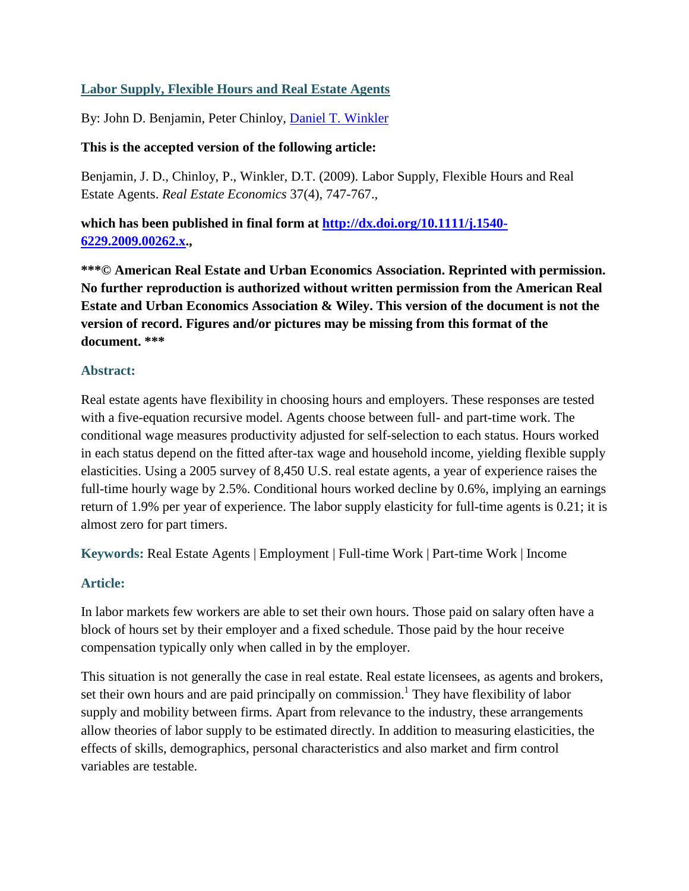# **Labor Supply, Flexible Hours and Real Estate Agents**

By: John D. Benjamin, Peter Chinloy, [Daniel T. Winkler](http://libres.uncg.edu/ir/uncg/clist.aspx?id=871)

### **This is the accepted version of the following article:**

Benjamin, J. D., Chinloy, P., Winkler, D.T. (2009). Labor Supply, Flexible Hours and Real Estate Agents. *Real Estate Economics* 37(4), 747-767.,

**which has been published in final form at [http://dx.doi.org/10.1111/j.1540-](http://dx.doi.org/10.1111/j.1540-6229.2009.00262.x) [6229.2009.00262.x.](http://dx.doi.org/10.1111/j.1540-6229.2009.00262.x),**

**\*\*\*© American Real Estate and Urban Economics Association. Reprinted with permission. No further reproduction is authorized without written permission from the American Real Estate and Urban Economics Association & Wiley. This version of the document is not the version of record. Figures and/or pictures may be missing from this format of the document. \*\*\***

### **Abstract:**

Real estate agents have flexibility in choosing hours and employers. These responses are tested with a five-equation recursive model. Agents choose between full- and part-time work. The conditional wage measures productivity adjusted for self-selection to each status. Hours worked in each status depend on the fitted after-tax wage and household income, yielding flexible supply elasticities. Using a 2005 survey of 8,450 U.S. real estate agents, a year of experience raises the full-time hourly wage by 2.5%. Conditional hours worked decline by 0.6%, implying an earnings return of 1.9% per year of experience. The labor supply elasticity for full-time agents is 0.21; it is almost zero for part timers.

**Keywords:** Real Estate Agents | Employment | Full-time Work | Part-time Work | Income

### **Article:**

In labor markets few workers are able to set their own hours. Those paid on salary often have a block of hours set by their employer and a fixed schedule. Those paid by the hour receive compensation typically only when called in by the employer.

This situation is not generally the case in real estate. Real estate licensees, as agents and brokers, set their own hours and are paid principally on commission.<sup>1</sup> They have flexibility of labor supply and mobility between firms. Apart from relevance to the industry, these arrangements allow theories of labor supply to be estimated directly. In addition to measuring elasticities, the effects of skills, demographics, personal characteristics and also market and firm control variables are testable.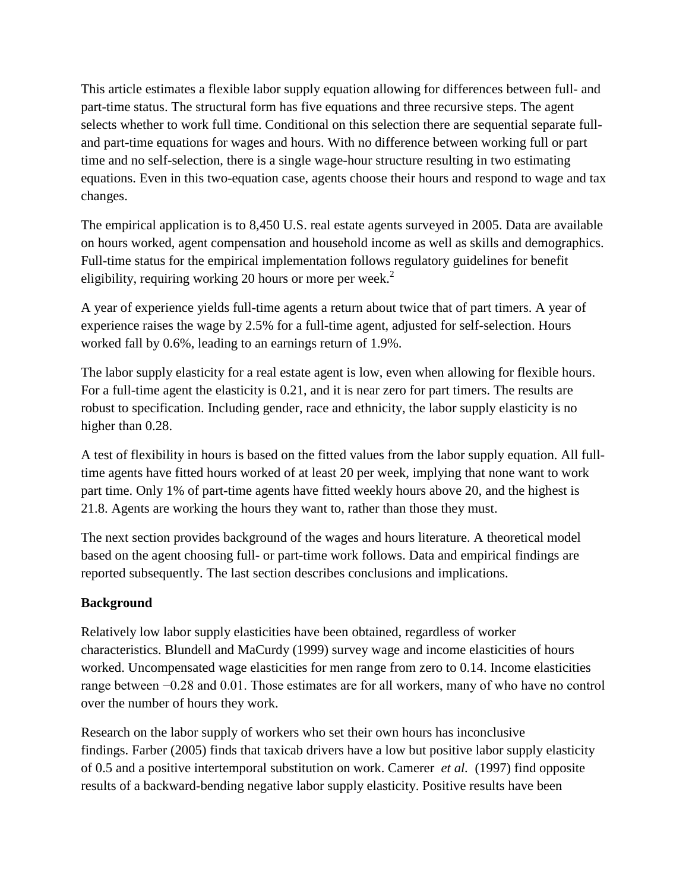This article estimates a flexible labor supply equation allowing for differences between full- and part-time status. The structural form has five equations and three recursive steps. The agent selects whether to work full time. Conditional on this selection there are sequential separate fulland part-time equations for wages and hours. With no difference between working full or part time and no self-selection, there is a single wage-hour structure resulting in two estimating equations. Even in this two-equation case, agents choose their hours and respond to wage and tax changes.

The empirical application is to 8,450 U.S. real estate agents surveyed in 2005. Data are available on hours worked, agent compensation and household income as well as skills and demographics. Full-time status for the empirical implementation follows regulatory guidelines for benefit eligibility, requiring working 20 hours or more per week.<sup>2</sup>

A year of experience yields full-time agents a return about twice that of part timers. A year of experience raises the wage by 2.5% for a full-time agent, adjusted for self-selection. Hours worked fall by 0.6%, leading to an earnings return of 1.9%.

The labor supply elasticity for a real estate agent is low, even when allowing for flexible hours. For a full-time agent the elasticity is 0.21, and it is near zero for part timers. The results are robust to specification. Including gender, race and ethnicity, the labor supply elasticity is no higher than 0.28.

A test of flexibility in hours is based on the fitted values from the labor supply equation. All fulltime agents have fitted hours worked of at least 20 per week, implying that none want to work part time. Only 1% of part-time agents have fitted weekly hours above 20, and the highest is 21.8. Agents are working the hours they want to, rather than those they must.

The next section provides background of the wages and hours literature. A theoretical model based on the agent choosing full- or part-time work follows. Data and empirical findings are reported subsequently. The last section describes conclusions and implications.

### **Background**

Relatively low labor supply elasticities have been obtained, regardless of worker characteristics. Blundell and MaCurdy (1999) survey wage and income elasticities of hours worked. Uncompensated wage elasticities for men range from zero to 0.14. Income elasticities range between −0.28 and 0.01. Those estimates are for all workers, many of who have no control over the number of hours they work.

Research on the labor supply of workers who set their own hours has inconclusive findings. Farber (2005) finds that taxicab drivers have a low but positive labor supply elasticity of 0.5 and a positive intertemporal substitution on work. Camerer *et al.* (1997) find opposite results of a backward-bending negative labor supply elasticity. Positive results have been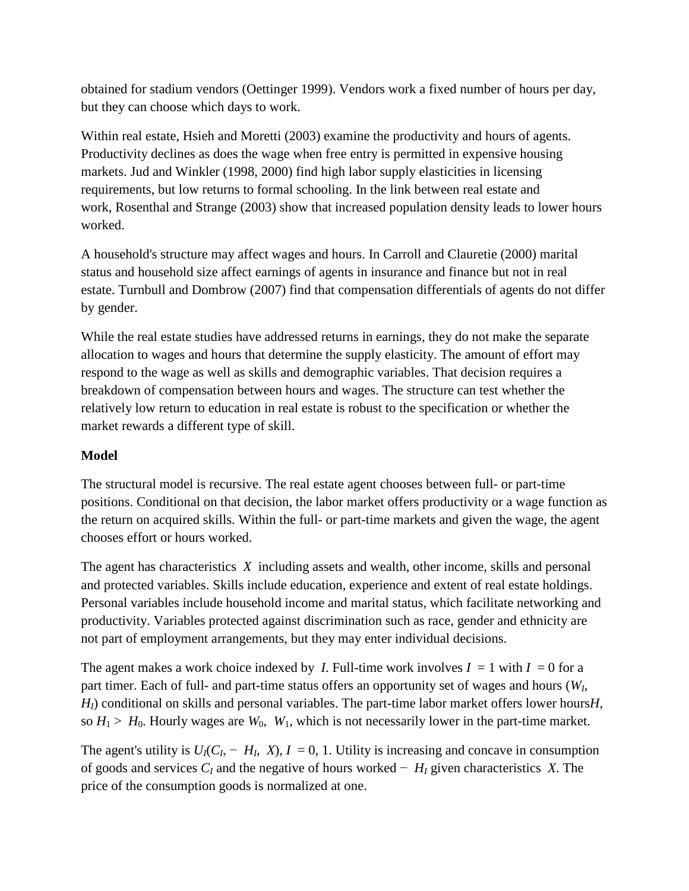obtained for stadium vendors (Oettinger 1999). Vendors work a fixed number of hours per day, but they can choose which days to work.

Within real estate, Hsieh and Moretti (2003) examine the productivity and hours of agents. Productivity declines as does the wage when free entry is permitted in expensive housing markets. Jud and Winkler (1998, 2000) find high labor supply elasticities in licensing requirements, but low returns to formal schooling. In the link between real estate and work, Rosenthal and Strange (2003) show that increased population density leads to lower hours worked.

A household's structure may affect wages and hours. In Carroll and Clauretie (2000) marital status and household size affect earnings of agents in insurance and finance but not in real estate. Turnbull and Dombrow (2007) find that compensation differentials of agents do not differ by gender.

While the real estate studies have addressed returns in earnings, they do not make the separate allocation to wages and hours that determine the supply elasticity. The amount of effort may respond to the wage as well as skills and demographic variables. That decision requires a breakdown of compensation between hours and wages. The structure can test whether the relatively low return to education in real estate is robust to the specification or whether the market rewards a different type of skill.

### **Model**

The structural model is recursive. The real estate agent chooses between full- or part-time positions. Conditional on that decision, the labor market offers productivity or a wage function as the return on acquired skills. Within the full- or part-time markets and given the wage, the agent chooses effort or hours worked.

The agent has characteristics *X* including assets and wealth, other income, skills and personal and protected variables. Skills include education, experience and extent of real estate holdings. Personal variables include household income and marital status, which facilitate networking and productivity. Variables protected against discrimination such as race, gender and ethnicity are not part of employment arrangements, but they may enter individual decisions.

The agent makes a work choice indexed by *I*. Full-time work involves  $I = 1$  with  $I = 0$  for a part timer. Each of full- and part-time status offers an opportunity set of wages and hours (*WI*, *HI*) conditional on skills and personal variables. The part-time labor market offers lower hours*H*, so  $H_1 > H_0$ . Hourly wages are  $W_0$ ,  $W_1$ , which is not necessarily lower in the part-time market.

The agent's utility is  $U_I(C_I - H_I, X), I = 0, 1$ . Utility is increasing and concave in consumption of goods and services *CI* and the negative of hours worked − *HI* given characteristics *X*. The price of the consumption goods is normalized at one.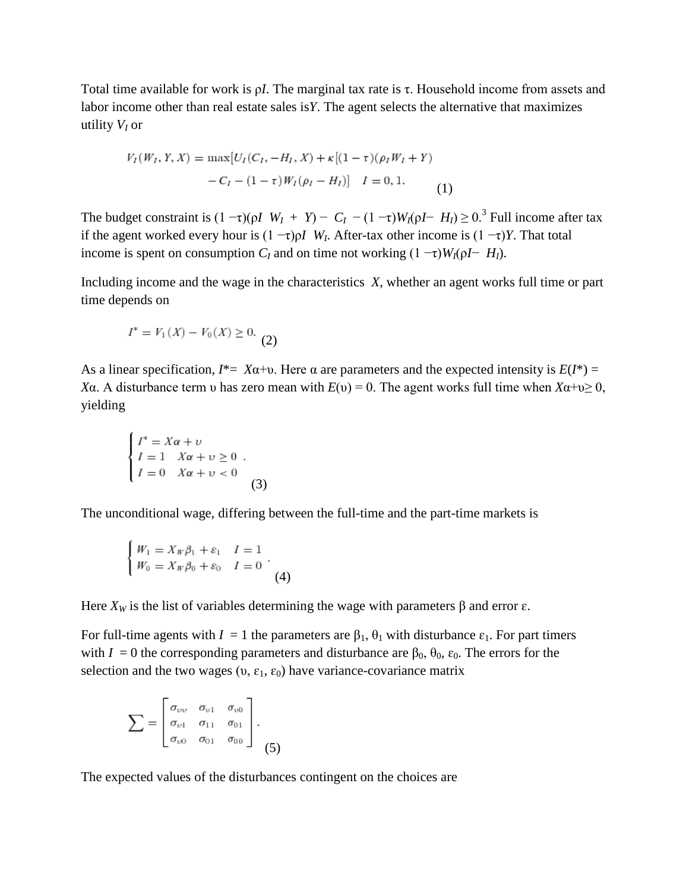Total time available for work is ρ*I*. The marginal tax rate is τ. Household income from assets and labor income other than real estate sales is*Y*. The agent selects the alternative that maximizes utility *VI* or

$$
V_I(W_I, Y, X) = \max[U_I(C_I, -H_I, X) + \kappa[(1 - \tau)(\rho_I W_I + Y) - C_I - (1 - \tau)W_I(\rho_I - H_I)] \quad I = 0, 1.
$$
\n(1)

The budget constraint is  $(1 - \tau)(\rho I \ W_I + Y) - C_I - (1 - \tau)W_I(\rho I - H_I) \geq 0.$ <sup>3</sup> Full income after tax if the agent worked every hour is  $(1 - \tau)pI$  *W<sub>I</sub>*. After-tax other income is  $(1 - \tau)Y$ . That total income is spent on consumption  $C_I$  and on time not working  $(1 - \tau)W_I(\rho I - H_I)$ .

Including income and the wage in the characteristics *X*, whether an agent works full time or part time depends on

$$
I^* = V_1(X) - V_0(X) \ge 0.
$$
 (2)

As a linear specification,  $I^* = X\alpha + \upsilon$ . Here  $\alpha$  are parameters and the expected intensity is  $E(I^*) =$ *X*α. A disturbance term *v* has zero mean with  $E(v) = 0$ . The agent works full time when  $X\alpha + v \ge 0$ , yielding

$$
\begin{cases}\nI^* = X\alpha + \nu \\
I = 1 & X\alpha + \nu \ge 0 \\
I = 0 & X\alpha + \nu < 0\n\end{cases}
$$
\n(3)

The unconditional wage, differing between the full-time and the part-time markets is

$$
\begin{cases} W_1 = X_W \beta_1 + \varepsilon_1 & I = 1 \\ W_0 = X_W \beta_0 + \varepsilon_0 & I = 0 \end{cases}
$$
 (4)

Here  $X_W$  is the list of variables determining the wage with parameters  $\beta$  and error  $\varepsilon$ .

For full-time agents with  $I = 1$  the parameters are  $\beta_1$ ,  $\theta_1$  with disturbance  $\varepsilon_1$ . For part timers with  $I = 0$  the corresponding parameters and disturbance are  $\beta_0$ ,  $\theta_0$ ,  $\varepsilon_0$ . The errors for the selection and the two wages (υ,  $\varepsilon_1$ ,  $\varepsilon_0$ ) have variance-covariance matrix

$$
\sum = \begin{bmatrix} \sigma_{vv} & \sigma_{v1} & \sigma_{v0} \\ \sigma_{v1} & \sigma_{11} & \sigma_{01} \\ \sigma_{v0} & \sigma_{01} & \sigma_{00} \end{bmatrix}.
$$
 (5)

The expected values of the disturbances contingent on the choices are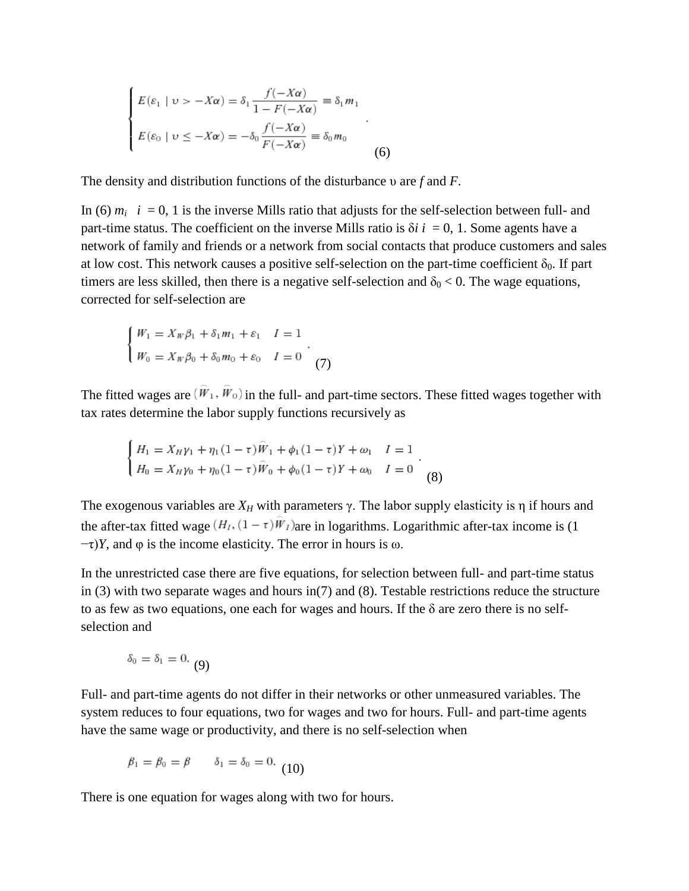$$
\begin{cases}\nE(\varepsilon_1 \mid v > -X\alpha) = \delta_1 \frac{f(-X\alpha)}{1 - F(-X\alpha)} = \delta_1 m_1 \\
E(\varepsilon_0 \mid v \le -X\alpha) = -\delta_0 \frac{f(-X\alpha)}{F(-X\alpha)} = \delta_0 m_0\n\end{cases} \tag{6}
$$

The density and distribution functions of the disturbance υ are *f* and *F*.

In (6)  $m_i$   $i = 0, 1$  is the inverse Mills ratio that adjusts for the self-selection between full- and part-time status. The coefficient on the inverse Mills ratio is  $\delta i$  *i* = 0, 1. Some agents have a network of family and friends or a network from social contacts that produce customers and sales at low cost. This network causes a positive self-selection on the part-time coefficient  $\delta_0$ . If part timers are less skilled, then there is a negative self-selection and  $\delta_0 < 0$ . The wage equations, corrected for self-selection are

$$
\begin{cases} W_1 = X_W \beta_1 + \delta_1 m_1 + \varepsilon_1 & I = 1 \\ W_0 = X_W \beta_0 + \delta_0 m_0 + \varepsilon_0 & I = 0 \end{cases}
$$
(7)

The fitted wages are  $(\hat{W}_1, \hat{W}_0)$  in the full- and part-time sectors. These fitted wages together with tax rates determine the labor supply functions recursively as

$$
\begin{cases}\nH_1 = X_H \gamma_1 + \eta_1 (1 - \tau) \hat{W}_1 + \phi_1 (1 - \tau) Y + \omega_1 & I = 1 \\
H_0 = X_H \gamma_0 + \eta_0 (1 - \tau) \hat{W}_0 + \phi_0 (1 - \tau) Y + \omega_0 & I = 0\n\end{cases} (8)
$$

The exogenous variables are  $X_H$  with parameters  $\gamma$ . The labor supply elasticity is  $\eta$  if hours and the after-tax fitted wage  $(H_I, (1 - \tau)\hat{W}_I)$  are in logarithms. Logarithmic after-tax income is (1)  $-\tau$ )*Y*, and  $\varphi$  is the income elasticity. The error in hours is  $\omega$ .

In the unrestricted case there are five equations, for selection between full- and part-time status in (3) with two separate wages and hours in(7) and (8). Testable restrictions reduce the structure to as few as two equations, one each for wages and hours. If the  $\delta$  are zero there is no selfselection and

$$
\delta_0=\delta_1=0. \ \ (9)
$$

Full- and part-time agents do not differ in their networks or other unmeasured variables. The system reduces to four equations, two for wages and two for hours. Full- and part-time agents have the same wage or productivity, and there is no self-selection when

$$
\beta_1 = \beta_0 = \beta \qquad \delta_1 = \delta_0 = 0. \tag{10}
$$

There is one equation for wages along with two for hours.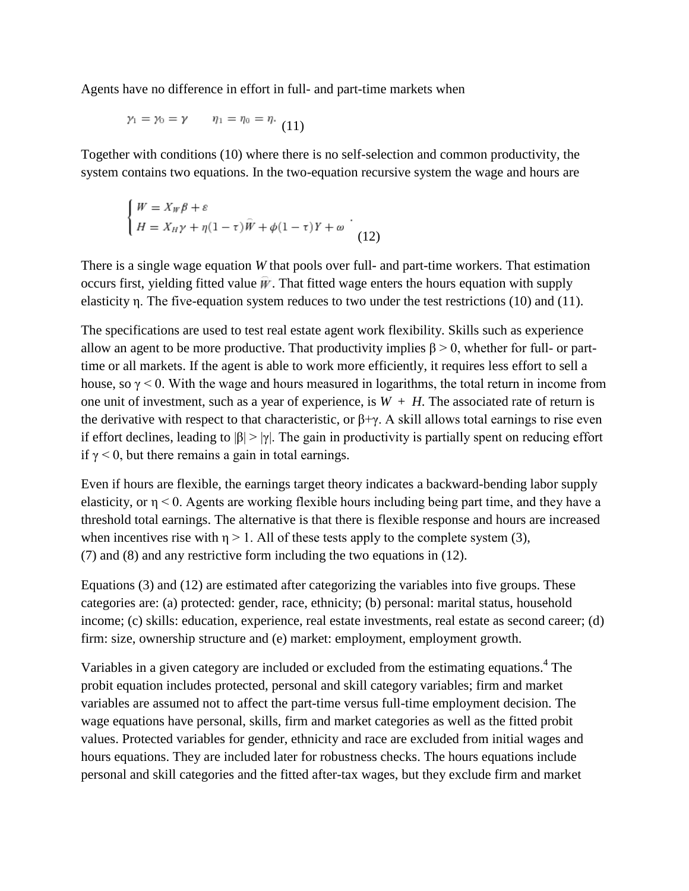Agents have no difference in effort in full- and part-time markets when

$$
\gamma_1 = \gamma_0 = \gamma \qquad \eta_1 = \eta_0 = \eta. \tag{11}
$$

Together with conditions (10) where there is no self-selection and common productivity, the system contains two equations. In the two-equation recursive system the wage and hours are

$$
\begin{cases} W = X_W \beta + \varepsilon \\ H = X_H \gamma + \eta (1 - \tau) \hat{W} + \phi (1 - \tau) Y + \omega \end{cases}
$$
 (12)

There is a single wage equation *W* that pools over full- and part-time workers. That estimation occurs first, yielding fitted value  $\vec{w}$ . That fitted wage enters the hours equation with supply elasticity η. The five-equation system reduces to two under the test restrictions (10) and (11).

The specifications are used to test real estate agent work flexibility. Skills such as experience allow an agent to be more productive. That productivity implies  $\beta > 0$ , whether for full- or parttime or all markets. If the agent is able to work more efficiently, it requires less effort to sell a house, so  $\gamma$  < 0. With the wage and hours measured in logarithms, the total return in income from one unit of investment, such as a year of experience, is  $W + H$ . The associated rate of return is the derivative with respect to that characteristic, or  $\beta + \gamma$ . A skill allows total earnings to rise even if effort declines, leading to  $|\beta| > |\gamma|$ . The gain in productivity is partially spent on reducing effort if  $\gamma$  < 0, but there remains a gain in total earnings.

Even if hours are flexible, the earnings target theory indicates a backward-bending labor supply elasticity, or η < 0. Agents are working flexible hours including being part time, and they have a threshold total earnings. The alternative is that there is flexible response and hours are increased when incentives rise with  $\eta > 1$ . All of these tests apply to the complete system (3), (7) and (8) and any restrictive form including the two equations in (12).

Equations (3) and (12) are estimated after categorizing the variables into five groups. These categories are: (a) protected: gender, race, ethnicity; (b) personal: marital status, household income; (c) skills: education, experience, real estate investments, real estate as second career; (d) firm: size, ownership structure and (e) market: employment, employment growth.

Variables in a given category are included or excluded from the estimating equations.<sup>4</sup> The probit equation includes protected, personal and skill category variables; firm and market variables are assumed not to affect the part-time versus full-time employment decision. The wage equations have personal, skills, firm and market categories as well as the fitted probit values. Protected variables for gender, ethnicity and race are excluded from initial wages and hours equations. They are included later for robustness checks. The hours equations include personal and skill categories and the fitted after-tax wages, but they exclude firm and market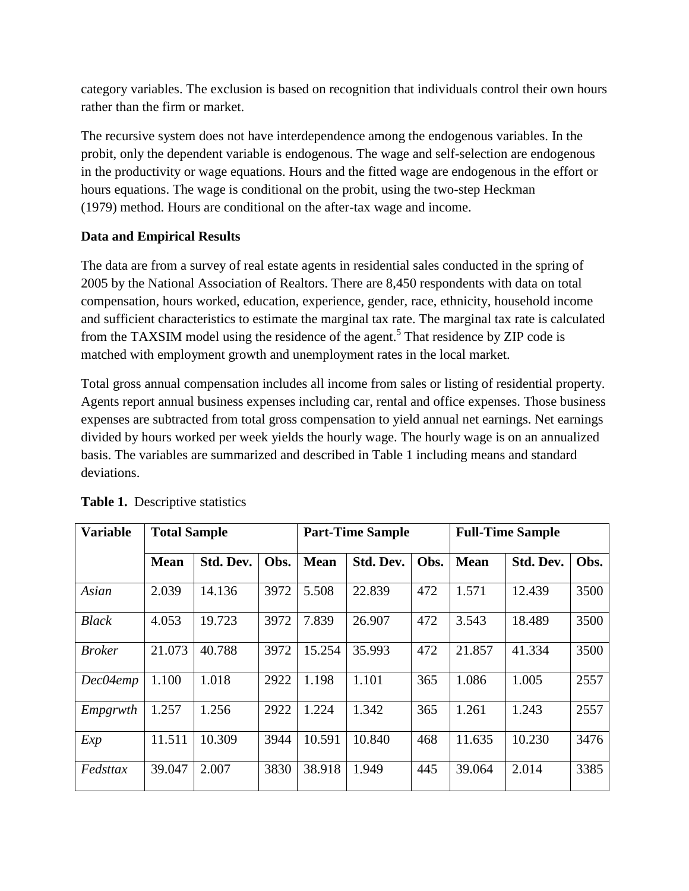category variables. The exclusion is based on recognition that individuals control their own hours rather than the firm or market.

The recursive system does not have interdependence among the endogenous variables. In the probit, only the dependent variable is endogenous. The wage and self-selection are endogenous in the productivity or wage equations. Hours and the fitted wage are endogenous in the effort or hours equations. The wage is conditional on the probit, using the two-step Heckman (1979) method. Hours are conditional on the after-tax wage and income.

### **Data and Empirical Results**

The data are from a survey of real estate agents in residential sales conducted in the spring of 2005 by the National Association of Realtors. There are 8,450 respondents with data on total compensation, hours worked, education, experience, gender, race, ethnicity, household income and sufficient characteristics to estimate the marginal tax rate. The marginal tax rate is calculated from the TAXSIM model using the residence of the agent.<sup>5</sup> That residence by ZIP code is matched with employment growth and unemployment rates in the local market.

Total gross annual compensation includes all income from sales or listing of residential property. Agents report annual business expenses including car, rental and office expenses. Those business expenses are subtracted from total gross compensation to yield annual net earnings. Net earnings divided by hours worked per week yields the hourly wage. The hourly wage is on an annualized basis. The variables are summarized and described in Table 1 including means and standard deviations.

| <b>Variable</b> | <b>Total Sample</b> |           |      |             | <b>Part-Time Sample</b> |      |             | <b>Full-Time Sample</b> |      |
|-----------------|---------------------|-----------|------|-------------|-------------------------|------|-------------|-------------------------|------|
|                 | <b>Mean</b>         | Std. Dev. | Obs. | <b>Mean</b> | Std. Dev.               | Obs. | <b>Mean</b> | Std. Dev.               | Obs. |
| Asian           | 2.039               | 14.136    | 3972 | 5.508       | 22.839                  | 472  | 1.571       | 12.439                  | 3500 |
| <b>Black</b>    | 4.053               | 19.723    | 3972 | 7.839       | 26.907                  | 472  | 3.543       | 18.489                  | 3500 |
| <b>Broker</b>   | 21.073              | 40.788    | 3972 | 15.254      | 35.993                  | 472  | 21.857      | 41.334                  | 3500 |
| Dec04emp        | 1.100               | 1.018     | 2922 | 1.198       | 1.101                   | 365  | 1.086       | 1.005                   | 2557 |
| Empgrwth        | 1.257               | 1.256     | 2922 | 1.224       | 1.342                   | 365  | 1.261       | 1.243                   | 2557 |
| Exp             | 11.511              | 10.309    | 3944 | 10.591      | 10.840                  | 468  | 11.635      | 10.230                  | 3476 |
| Fedsttax        | 39.047              | 2.007     | 3830 | 38.918      | 1.949                   | 445  | 39.064      | 2.014                   | 3385 |

**Table 1.** Descriptive statistics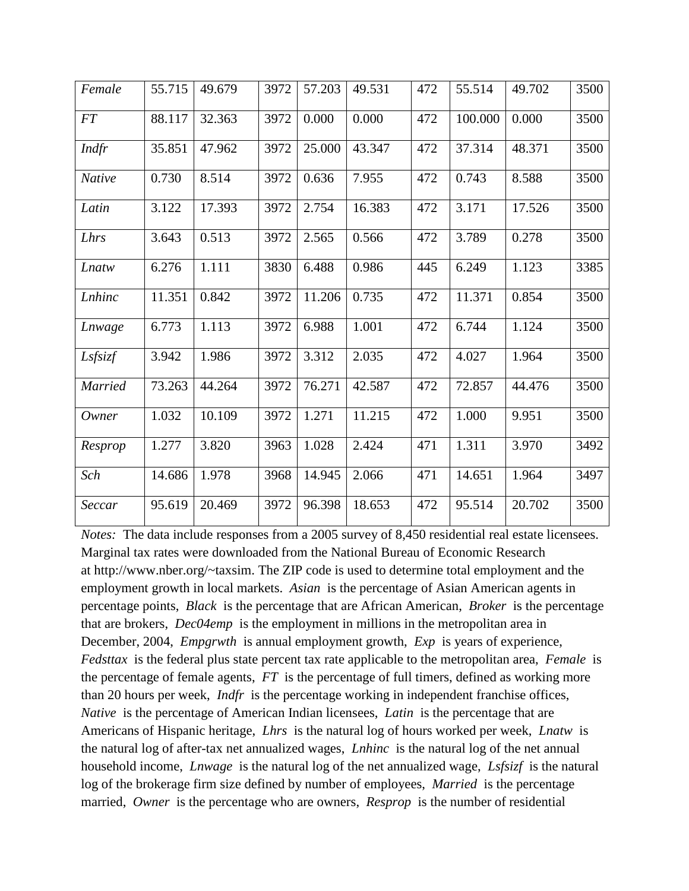| Female         | 55.715 | 49.679 | 3972 | 57.203 | 49.531 | 472 | 55.514  | 49.702 | 3500 |
|----------------|--------|--------|------|--------|--------|-----|---------|--------|------|
| <b>FT</b>      | 88.117 | 32.363 | 3972 | 0.000  | 0.000  | 472 | 100.000 | 0.000  | 3500 |
| Indfr          | 35.851 | 47.962 | 3972 | 25.000 | 43.347 | 472 | 37.314  | 48.371 | 3500 |
| Native         | 0.730  | 8.514  | 3972 | 0.636  | 7.955  | 472 | 0.743   | 8.588  | 3500 |
| Latin          | 3.122  | 17.393 | 3972 | 2.754  | 16.383 | 472 | 3.171   | 17.526 | 3500 |
| Lhrs           | 3.643  | 0.513  | 3972 | 2.565  | 0.566  | 472 | 3.789   | 0.278  | 3500 |
| Lnatw          | 6.276  | 1.111  | 3830 | 6.488  | 0.986  | 445 | 6.249   | 1.123  | 3385 |
| Lnhinc         | 11.351 | 0.842  | 3972 | 11.206 | 0.735  | 472 | 11.371  | 0.854  | 3500 |
| Lnwage         | 6.773  | 1.113  | 3972 | 6.988  | 1.001  | 472 | 6.744   | 1.124  | 3500 |
| Lsfsizf        | 3.942  | 1.986  | 3972 | 3.312  | 2.035  | 472 | 4.027   | 1.964  | 3500 |
| <b>Married</b> | 73.263 | 44.264 | 3972 | 76.271 | 42.587 | 472 | 72.857  | 44.476 | 3500 |
| Owner          | 1.032  | 10.109 | 3972 | 1.271  | 11.215 | 472 | 1.000   | 9.951  | 3500 |
| Resprop        | 1.277  | 3.820  | 3963 | 1.028  | 2.424  | 471 | 1.311   | 3.970  | 3492 |
| Sch            | 14.686 | 1.978  | 3968 | 14.945 | 2.066  | 471 | 14.651  | 1.964  | 3497 |
| Seccar         | 95.619 | 20.469 | 3972 | 96.398 | 18.653 | 472 | 95.514  | 20.702 | 3500 |

*Notes:* The data include responses from a 2005 survey of 8,450 residential real estate licensees. Marginal tax rates were downloaded from the National Bureau of Economic Research at http://www.nber.org/~taxsim. The ZIP code is used to determine total employment and the employment growth in local markets. *Asian* is the percentage of Asian American agents in percentage points, *Black* is the percentage that are African American, *Broker* is the percentage that are brokers, *Dec04emp* is the employment in millions in the metropolitan area in December, 2004, *Empgrwth* is annual employment growth, *Exp* is years of experience, *Fedsttax* is the federal plus state percent tax rate applicable to the metropolitan area, *Female* is the percentage of female agents, *FT* is the percentage of full timers, defined as working more than 20 hours per week, *Indfr* is the percentage working in independent franchise offices, *Native* is the percentage of American Indian licensees, *Latin* is the percentage that are Americans of Hispanic heritage, *Lhrs* is the natural log of hours worked per week, *Lnatw* is the natural log of after-tax net annualized wages, *Lnhinc* is the natural log of the net annual household income, *Lnwage* is the natural log of the net annualized wage, *Lsfsizf* is the natural log of the brokerage firm size defined by number of employees, *Married* is the percentage married, *Owner* is the percentage who are owners, *Resprop* is the number of residential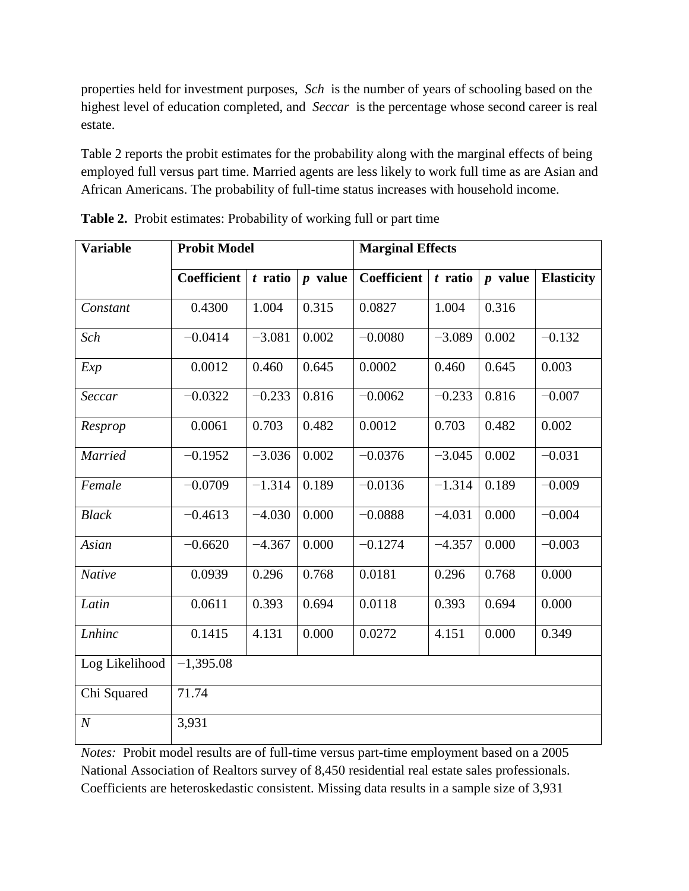properties held for investment purposes, *Sch* is the number of years of schooling based on the highest level of education completed, and *Seccar* is the percentage whose second career is real estate.

Table 2 reports the probit estimates for the probability along with the marginal effects of being employed full versus part time. Married agents are less likely to work full time as are Asian and African Americans. The probability of full-time status increases with household income.

| <b>Variable</b>  | <b>Probit Model</b> |           |           | <b>Marginal Effects</b> |           |           |                   |
|------------------|---------------------|-----------|-----------|-------------------------|-----------|-----------|-------------------|
|                  | <b>Coefficient</b>  | $t$ ratio | $p$ value | <b>Coefficient</b>      | $t$ ratio | $p$ value | <b>Elasticity</b> |
| Constant         | 0.4300              | 1.004     | 0.315     | 0.0827                  | 1.004     | 0.316     |                   |
| Sch              | $-0.0414$           | $-3.081$  | 0.002     | $-0.0080$               | $-3.089$  | 0.002     | $-0.132$          |
| Exp              | 0.0012              | 0.460     | 0.645     | 0.0002                  | 0.460     | 0.645     | 0.003             |
| Seccar           | $-0.0322$           | $-0.233$  | 0.816     | $-0.0062$               | $-0.233$  | 0.816     | $-0.007$          |
| Resprop          | 0.0061              | 0.703     | 0.482     | 0.0012                  | 0.703     | 0.482     | 0.002             |
| <b>Married</b>   | $-0.1952$           | $-3.036$  | 0.002     | $-0.0376$               | $-3.045$  | 0.002     | $-0.031$          |
| Female           | $-0.0709$           | $-1.314$  | 0.189     | $-0.0136$               | $-1.314$  | 0.189     | $-0.009$          |
| <b>Black</b>     | $-0.4613$           | $-4.030$  | 0.000     | $-0.0888$               | $-4.031$  | 0.000     | $-0.004$          |
| Asian            | $-0.6620$           | $-4.367$  | 0.000     | $-0.1274$               | $-4.357$  | 0.000     | $-0.003$          |
| Native           | 0.0939              | 0.296     | 0.768     | 0.0181                  | 0.296     | 0.768     | 0.000             |
| Latin            | 0.0611              | 0.393     | 0.694     | 0.0118                  | 0.393     | 0.694     | 0.000             |
| <b>Lnhinc</b>    | 0.1415              | 4.131     | 0.000     | 0.0272                  | 4.151     | 0.000     | 0.349             |
| Log Likelihood   | $-1,395.08$         |           |           |                         |           |           |                   |
| Chi Squared      | 71.74               |           |           |                         |           |           |                   |
| $\boldsymbol{N}$ | 3,931               |           |           |                         |           |           |                   |

**Table 2.** Probit estimates: Probability of working full or part time

*Notes:* Probit model results are of full-time versus part-time employment based on a 2005 National Association of Realtors survey of 8,450 residential real estate sales professionals. Coefficients are heteroskedastic consistent. Missing data results in a sample size of 3,931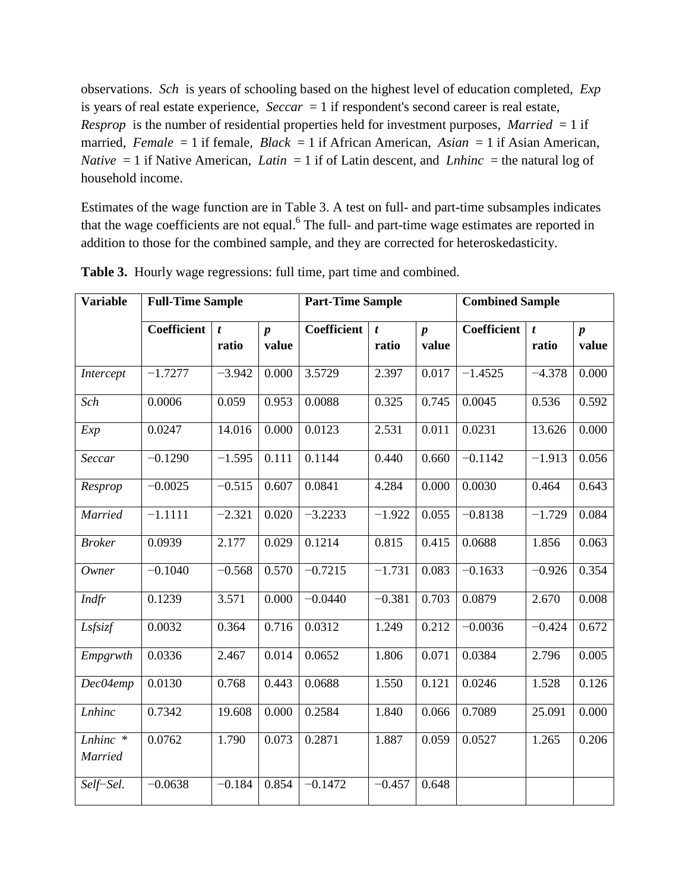observations. *Sch* is years of schooling based on the highest level of education completed, *Exp* is years of real estate experience, *Seccar* = 1 if respondent's second career is real estate, *Resprop* is the number of residential properties held for investment purposes, *Married* = 1 if married, *Female* = 1 if female, *Black* = 1 if African American, *Asian* = 1 if Asian American, *Native*  $= 1$  if Native American, *Latin*  $= 1$  if of Latin descent, and *Lnhinc*  $=$  the natural log of household income.

Estimates of the wage function are in Table 3. A test on full- and part-time subsamples indicates that the wage coefficients are not equal.<sup>6</sup> The full- and part-time wage estimates are reported in addition to those for the combined sample, and they are corrected for heteroskedasticity.

| <b>Variable</b>     | <b>Full-Time Sample</b> |                  |                  | <b>Part-Time Sample</b> |                  |                  |             | <b>Combined Sample</b> |                  |  |
|---------------------|-------------------------|------------------|------------------|-------------------------|------------------|------------------|-------------|------------------------|------------------|--|
|                     | <b>Coefficient</b>      | $\boldsymbol{t}$ | $\boldsymbol{p}$ | Coefficient             | $\boldsymbol{t}$ | $\boldsymbol{p}$ | Coefficient | t                      | $\boldsymbol{p}$ |  |
|                     |                         | ratio            | value            |                         | ratio            | value            |             | ratio                  | value            |  |
| Intercept           | $-1.7277$               | $-3.942$         | 0.000            | 3.5729                  | 2.397            | 0.017            | $-1.4525$   | $-4.378$               | 0.000            |  |
| Sch                 | 0.0006                  | 0.059            | 0.953            | 0.0088                  | 0.325            | 0.745            | 0.0045      | 0.536                  | 0.592            |  |
| Exp                 | 0.0247                  | 14.016           | 0.000            | 0.0123                  | 2.531            | 0.011            | 0.0231      | 13.626                 | 0.000            |  |
| Seccar              | $-0.1290$               | $-1.595$         | 0.111            | 0.1144                  | 0.440            | 0.660            | $-0.1142$   | $-1.913$               | 0.056            |  |
| Resprop             | $-0.0025$               | $-0.515$         | 0.607            | 0.0841                  | 4.284            | 0.000            | 0.0030      | 0.464                  | 0.643            |  |
| Married             | $-1.1111$               | $-2.321$         | 0.020            | $-3.2233$               | $-1.922$         | 0.055            | $-0.8138$   | $-1.729$               | 0.084            |  |
| <b>Broker</b>       | 0.0939                  | 2.177            | 0.029            | 0.1214                  | 0.815            | 0.415            | 0.0688      | 1.856                  | 0.063            |  |
| Owner               | $-0.1040$               | $-0.568$         | 0.570            | $-0.7215$               | $-1.731$         | 0.083            | $-0.1633$   | $-0.926$               | 0.354            |  |
| Indfr               | 0.1239                  | 3.571            | 0.000            | $-0.0440$               | $-0.381$         | 0.703            | 0.0879      | 2.670                  | 0.008            |  |
| Lsfsizf             | 0.0032                  | 0.364            | 0.716            | 0.0312                  | 1.249            | 0.212            | $-0.0036$   | $-0.424$               | 0.672            |  |
| Empgrwth            | 0.0336                  | 2.467            | 0.014            | 0.0652                  | 1.806            | 0.071            | 0.0384      | 2.796                  | 0.005            |  |
| Dec04emp            | 0.0130                  | 0.768            | 0.443            | 0.0688                  | 1.550            | 0.121            | 0.0246      | 1.528                  | 0.126            |  |
| <b>Lnhinc</b>       | 0.7342                  | 19.608           | 0.000            | 0.2584                  | 1.840            | 0.066            | 0.7089      | 25.091                 | 0.000            |  |
| Lnhinc *<br>Married | 0.0762                  | 1.790            | 0.073            | 0.2871                  | 1.887            | 0.059            | 0.0527      | 1.265                  | 0.206            |  |
| Self-Sel.           | $-0.0638$               | $-0.184$         | 0.854            | $-0.1472$               | $-0.457$         | 0.648            |             |                        |                  |  |

**Table 3.** Hourly wage regressions: full time, part time and combined.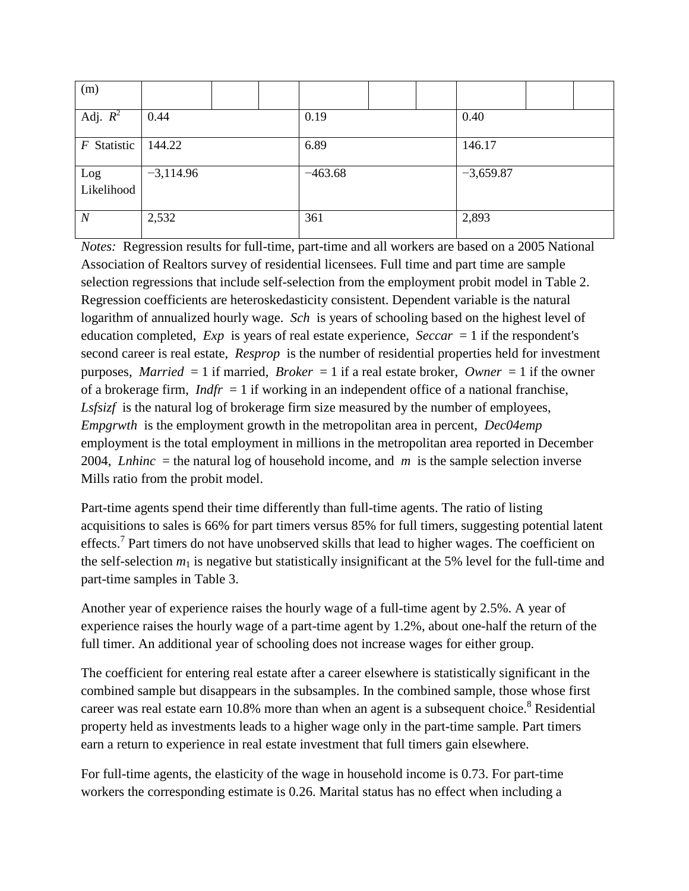| (m)               |             |  |      |           |  |      |             |  |  |
|-------------------|-------------|--|------|-----------|--|------|-------------|--|--|
| Adj. $R^2$        | 0.44        |  | 0.19 |           |  | 0.40 |             |  |  |
| $F$ Statistic     | 144.22      |  |      | 6.89      |  |      | 146.17      |  |  |
| Log<br>Likelihood | $-3,114.96$ |  |      | $-463.68$ |  |      | $-3,659.87$ |  |  |
| $\boldsymbol{N}$  | 2,532       |  |      | 361       |  |      | 2,893       |  |  |

*Notes:* Regression results for full-time, part-time and all workers are based on a 2005 National Association of Realtors survey of residential licensees. Full time and part time are sample selection regressions that include self-selection from the employment probit model in Table 2. Regression coefficients are heteroskedasticity consistent. Dependent variable is the natural logarithm of annualized hourly wage. *Sch* is years of schooling based on the highest level of education completed, *Exp* is years of real estate experience, *Seccar* = 1 if the respondent's second career is real estate, *Resprop* is the number of residential properties held for investment purposes, *Married* = 1 if married, *Broker* = 1 if a real estate broker, *Owner* = 1 if the owner of a brokerage firm,  $Indfr = 1$  if working in an independent office of a national franchise, *Lsfsizf* is the natural log of brokerage firm size measured by the number of employees, *Empgrwth* is the employment growth in the metropolitan area in percent, *Dec04emp* employment is the total employment in millions in the metropolitan area reported in December 2004, *Lnhinc* = the natural log of household income, and  $m$  is the sample selection inverse Mills ratio from the probit model.

Part-time agents spend their time differently than full-time agents. The ratio of listing acquisitions to sales is 66% for part timers versus 85% for full timers, suggesting potential latent effects.<sup>7</sup> Part timers do not have unobserved skills that lead to higher wages. The coefficient on the self-selection  $m_1$  is negative but statistically insignificant at the 5% level for the full-time and part-time samples in Table 3.

Another year of experience raises the hourly wage of a full-time agent by 2.5%. A year of experience raises the hourly wage of a part-time agent by 1.2%, about one-half the return of the full timer. An additional year of schooling does not increase wages for either group.

The coefficient for entering real estate after a career elsewhere is statistically significant in the combined sample but disappears in the subsamples. In the combined sample, those whose first career was real estate earn  $10.8\%$  more than when an agent is a subsequent choice.<sup>8</sup> Residential property held as investments leads to a higher wage only in the part-time sample. Part timers earn a return to experience in real estate investment that full timers gain elsewhere.

For full-time agents, the elasticity of the wage in household income is 0.73. For part-time workers the corresponding estimate is 0.26. Marital status has no effect when including a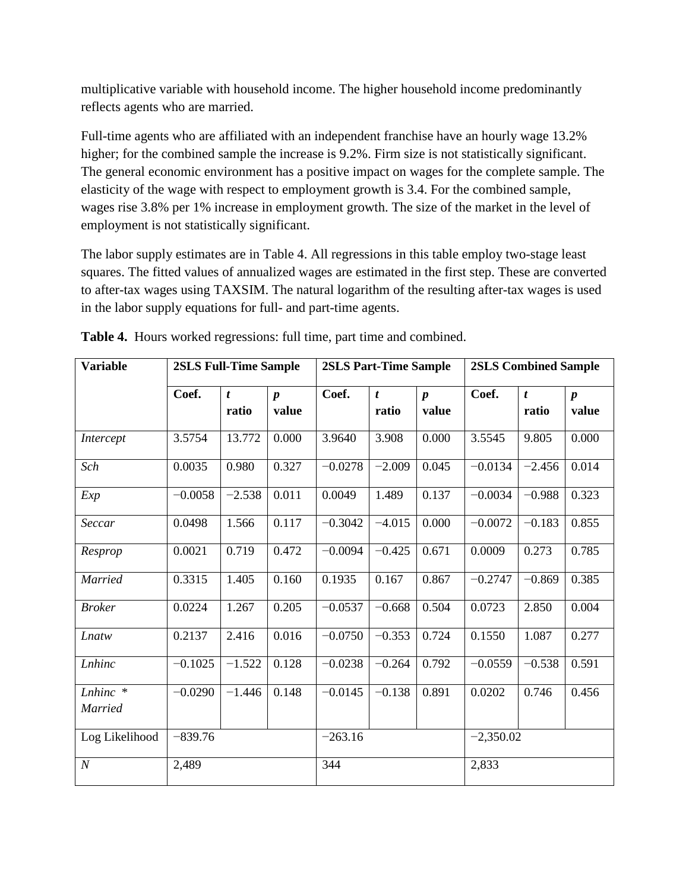multiplicative variable with household income. The higher household income predominantly reflects agents who are married.

Full-time agents who are affiliated with an independent franchise have an hourly wage 13.2% higher; for the combined sample the increase is 9.2%. Firm size is not statistically significant. The general economic environment has a positive impact on wages for the complete sample. The elasticity of the wage with respect to employment growth is 3.4. For the combined sample, wages rise 3.8% per 1% increase in employment growth. The size of the market in the level of employment is not statistically significant.

The labor supply estimates are in Table 4. All regressions in this table employ two-stage least squares. The fitted values of annualized wages are estimated in the first step. These are converted to after-tax wages using TAXSIM. The natural logarithm of the resulting after-tax wages is used in the labor supply equations for full- and part-time agents.

| <b>Variable</b>     |           | <b>2SLS Full-Time Sample</b><br><b>2SLS Part-Time Sample</b> |                           |           |                           |                           | <b>2SLS Combined Sample</b> |                           |                           |
|---------------------|-----------|--------------------------------------------------------------|---------------------------|-----------|---------------------------|---------------------------|-----------------------------|---------------------------|---------------------------|
|                     | Coef.     | $\boldsymbol{t}$<br>ratio                                    | $\boldsymbol{p}$<br>value | Coef.     | $\boldsymbol{t}$<br>ratio | $\boldsymbol{p}$<br>value | Coef.                       | $\boldsymbol{t}$<br>ratio | $\boldsymbol{p}$<br>value |
| Intercept           | 3.5754    | 13.772                                                       | 0.000                     | 3.9640    | 3.908                     | 0.000                     | 3.5545                      | 9.805                     | 0.000                     |
| Sch                 | 0.0035    | 0.980                                                        | 0.327                     | $-0.0278$ | $-2.009$                  | 0.045                     | $-0.0134$                   | $-2.456$                  | 0.014                     |
| Exp                 | $-0.0058$ | $-2.538$                                                     | 0.011                     | 0.0049    | 1.489                     | 0.137                     | $-0.0034$                   | $-0.988$                  | 0.323                     |
| Seccar              | 0.0498    | 1.566                                                        | 0.117                     | $-0.3042$ | $-4.015$                  | 0.000                     | $-0.0072$                   | $-0.183$                  | 0.855                     |
| Resprop             | 0.0021    | 0.719                                                        | 0.472                     | $-0.0094$ | $-0.425$                  | 0.671                     | 0.0009                      | 0.273                     | 0.785                     |
| <b>Married</b>      | 0.3315    | 1.405                                                        | 0.160                     | 0.1935    | 0.167                     | 0.867                     | $-0.2747$                   | $-0.869$                  | 0.385                     |
| <b>Broker</b>       | 0.0224    | 1.267                                                        | 0.205                     | $-0.0537$ | $-0.668$                  | 0.504                     | 0.0723                      | 2.850                     | 0.004                     |
| Lnatw               | 0.2137    | 2.416                                                        | 0.016                     | $-0.0750$ | $-0.353$                  | 0.724                     | 0.1550                      | 1.087                     | 0.277                     |
| Lnhinc              | $-0.1025$ | $-1.522$                                                     | 0.128                     | $-0.0238$ | $-0.264$                  | 0.792                     | $-0.0559$                   | $-0.538$                  | 0.591                     |
| Lnhinc *<br>Married | $-0.0290$ | $-1.446$                                                     | 0.148                     | $-0.0145$ | $-0.138$                  | 0.891                     | 0.0202                      | 0.746                     | 0.456                     |
| Log Likelihood      | $-839.76$ |                                                              |                           | $-263.16$ |                           |                           | $-2,350.02$                 |                           |                           |
| $\boldsymbol{N}$    | 2,489     |                                                              |                           | 344       |                           |                           | 2,833                       |                           |                           |

**Table 4.** Hours worked regressions: full time, part time and combined.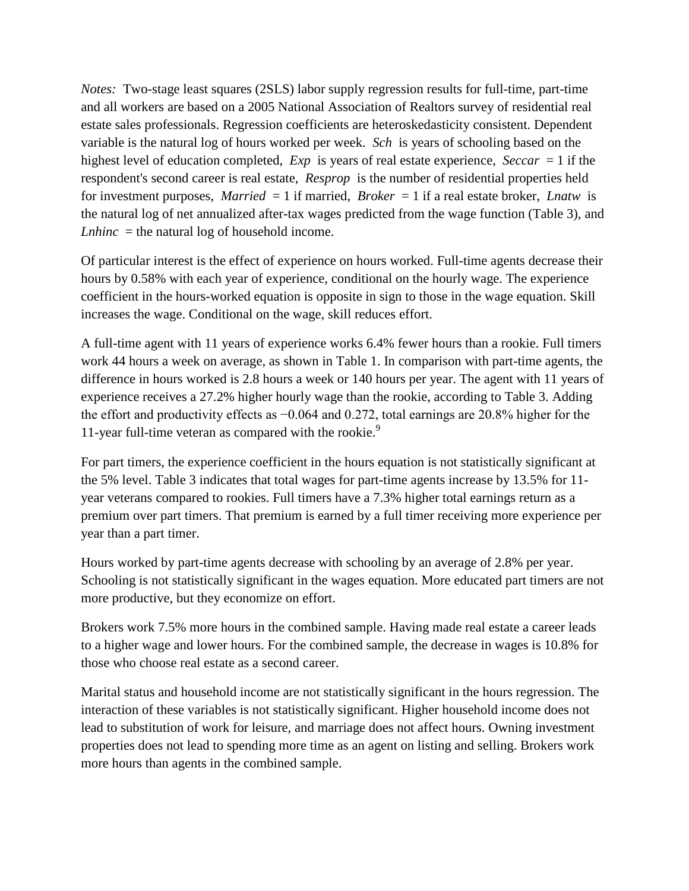*Notes:* Two-stage least squares (2SLS) labor supply regression results for full-time, part-time and all workers are based on a 2005 National Association of Realtors survey of residential real estate sales professionals. Regression coefficients are heteroskedasticity consistent. Dependent variable is the natural log of hours worked per week. *Sch* is years of schooling based on the highest level of education completed, *Exp* is years of real estate experience, *Seccar* = 1 if the respondent's second career is real estate, *Resprop* is the number of residential properties held for investment purposes, *Married* = 1 if married, *Broker* = 1 if a real estate broker, *Lnatw* is the natural log of net annualized after-tax wages predicted from the wage function (Table 3), and *Lnhinc* = the natural log of household income.

Of particular interest is the effect of experience on hours worked. Full-time agents decrease their hours by 0.58% with each year of experience, conditional on the hourly wage. The experience coefficient in the hours-worked equation is opposite in sign to those in the wage equation. Skill increases the wage. Conditional on the wage, skill reduces effort.

A full-time agent with 11 years of experience works 6.4% fewer hours than a rookie. Full timers work 44 hours a week on average, as shown in Table 1. In comparison with part-time agents, the difference in hours worked is 2.8 hours a week or 140 hours per year. The agent with 11 years of experience receives a 27.2% higher hourly wage than the rookie, according to Table 3. Adding the effort and productivity effects as −0.064 and 0.272, total earnings are 20.8% higher for the 11-year full-time veteran as compared with the rookie.<sup>9</sup>

For part timers, the experience coefficient in the hours equation is not statistically significant at the 5% level. Table 3 indicates that total wages for part-time agents increase by 13.5% for 11 year veterans compared to rookies. Full timers have a 7.3% higher total earnings return as a premium over part timers. That premium is earned by a full timer receiving more experience per year than a part timer.

Hours worked by part-time agents decrease with schooling by an average of 2.8% per year. Schooling is not statistically significant in the wages equation. More educated part timers are not more productive, but they economize on effort.

Brokers work 7.5% more hours in the combined sample. Having made real estate a career leads to a higher wage and lower hours. For the combined sample, the decrease in wages is 10.8% for those who choose real estate as a second career.

Marital status and household income are not statistically significant in the hours regression. The interaction of these variables is not statistically significant. Higher household income does not lead to substitution of work for leisure, and marriage does not affect hours. Owning investment properties does not lead to spending more time as an agent on listing and selling. Brokers work more hours than agents in the combined sample.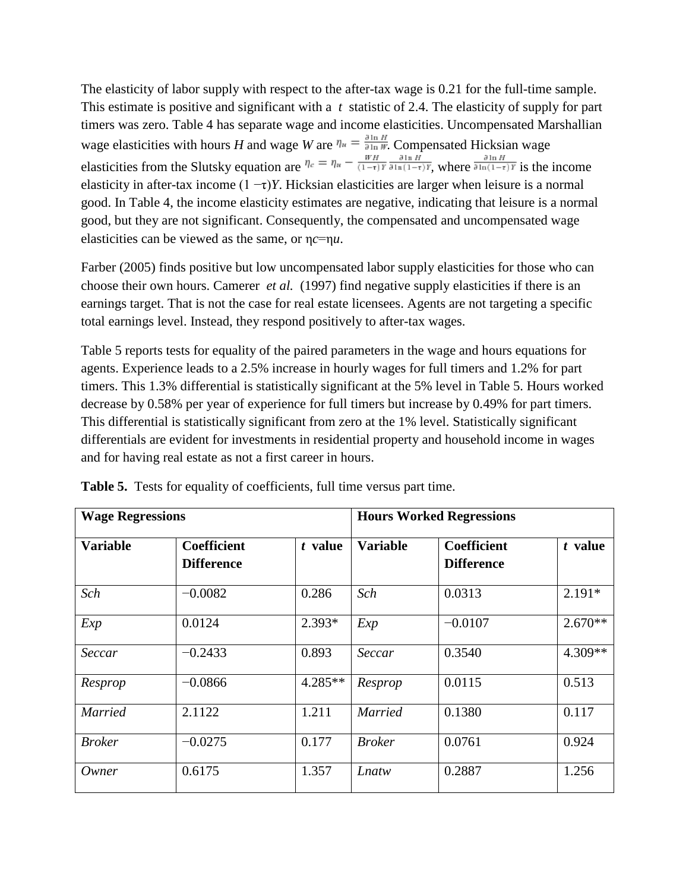The elasticity of labor supply with respect to the after-tax wage is 0.21 for the full-time sample. This estimate is positive and significant with a *t* statistic of 2.4. The elasticity of supply for part timers was zero. Table 4 has separate wage and income elasticities. Uncompensated Marshallian wage elasticities with hours *H* and wage *W* are  $\eta_u = \frac{\mu}{\sin w}$ . Compensated Hicksian wage elasticities from the Slutsky equation are  $\eta_e = \eta_u - \frac{1}{(1-\tau)Y} \frac{1}{\delta \ln(1-\tau)Y}$ , where  $\frac{1}{\delta \ln(1-\tau)Y}$  is the income elasticity in after-tax income  $(1 - \tau)Y$ . Hicksian elasticities are larger when leisure is a normal good. In Table 4, the income elasticity estimates are negative, indicating that leisure is a normal good, but they are not significant. Consequently, the compensated and uncompensated wage elasticities can be viewed as the same, or η*c*=η*u*.

Farber (2005) finds positive but low uncompensated labor supply elasticities for those who can choose their own hours. Camerer *et al.* (1997) find negative supply elasticities if there is an earnings target. That is not the case for real estate licensees. Agents are not targeting a specific total earnings level. Instead, they respond positively to after-tax wages.

Table 5 reports tests for equality of the paired parameters in the wage and hours equations for agents. Experience leads to a 2.5% increase in hourly wages for full timers and 1.2% for part timers. This 1.3% differential is statistically significant at the 5% level in Table 5. Hours worked decrease by 0.58% per year of experience for full timers but increase by 0.49% for part timers. This differential is statistically significant from zero at the 1% level. Statistically significant differentials are evident for investments in residential property and household income in wages and for having real estate as not a first career in hours.

| <b>Wage Regressions</b> |                                         |           |                 | <b>Hours Worked Regressions</b>         |           |  |  |  |
|-------------------------|-----------------------------------------|-----------|-----------------|-----------------------------------------|-----------|--|--|--|
| <b>Variable</b>         | <b>Coefficient</b><br><b>Difference</b> | t value   | <b>Variable</b> | <b>Coefficient</b><br><b>Difference</b> | t value   |  |  |  |
| Sch                     | $-0.0082$                               | 0.286     | Sch             | 0.0313                                  | $2.191*$  |  |  |  |
| Exp                     | 0.0124                                  | 2.393*    | Exp             | $-0.0107$                               | $2.670**$ |  |  |  |
| Seccar                  | $-0.2433$                               | 0.893     | Seccar          | 0.3540                                  | 4.309**   |  |  |  |
| Resprop                 | $-0.0866$                               | $4.285**$ | Resprop         | 0.0115                                  | 0.513     |  |  |  |
| <b>Married</b>          | 2.1122                                  | 1.211     | <b>Married</b>  | 0.1380                                  | 0.117     |  |  |  |
| <b>Broker</b>           | $-0.0275$                               | 0.177     | <b>Broker</b>   | 0.0761                                  | 0.924     |  |  |  |
| Owner                   | 0.6175                                  | 1.357     | Lnatw           | 0.2887                                  | 1.256     |  |  |  |

**Table 5.** Tests for equality of coefficients, full time versus part time.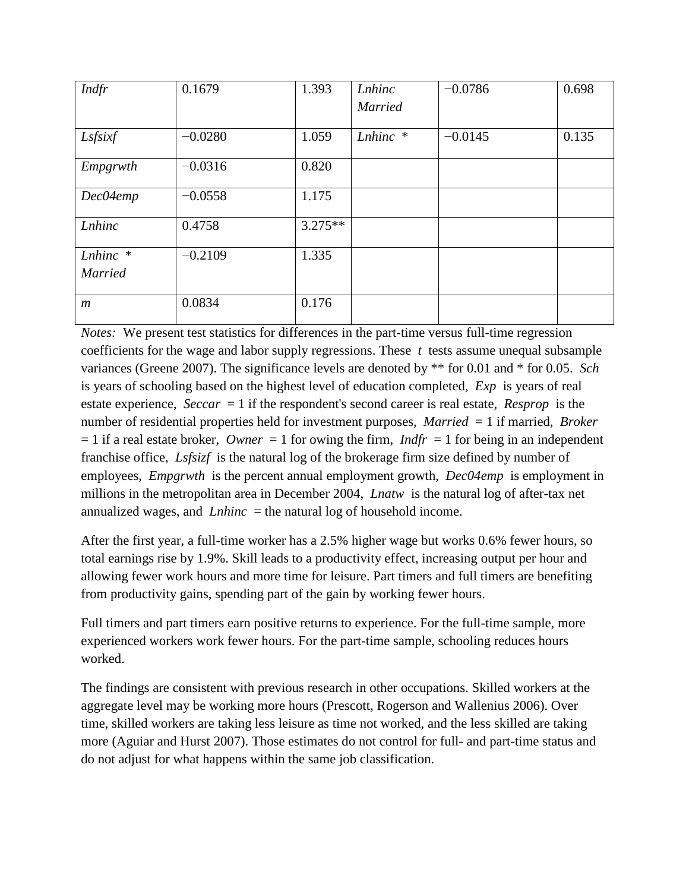| Indfr            | 0.1679    | 1.393     | Lnhinc         | $-0.0786$ | 0.698 |
|------------------|-----------|-----------|----------------|-----------|-------|
|                  |           |           | <b>Married</b> |           |       |
|                  |           |           |                |           |       |
| Lsfsixf          | $-0.0280$ | 1.059     | $Lnhinc$ *     | $-0.0145$ | 0.135 |
|                  |           |           |                |           |       |
| Empgrwth         | $-0.0316$ | 0.820     |                |           |       |
| Dec04emp         | $-0.0558$ | 1.175     |                |           |       |
|                  |           |           |                |           |       |
| Lnhinc           | 0.4758    | $3.275**$ |                |           |       |
|                  |           |           |                |           |       |
| Lnhinc *         | $-0.2109$ | 1.335     |                |           |       |
| <b>Married</b>   |           |           |                |           |       |
|                  |           |           |                |           |       |
| $\boldsymbol{m}$ | 0.0834    | 0.176     |                |           |       |
|                  |           |           |                |           |       |

*Notes:* We present test statistics for differences in the part-time versus full-time regression coefficients for the wage and labor supply regressions. These *t* tests assume unequal subsample variances (Greene 2007). The significance levels are denoted by \*\* for 0.01 and \* for 0.05. *Sch* is years of schooling based on the highest level of education completed, *Exp* is years of real estate experience, *Seccar* = 1 if the respondent's second career is real estate, *Resprop* is the number of residential properties held for investment purposes, *Married* = 1 if married, *Broker*  $= 1$  if a real estate broker, *Owner*  $= 1$  for owing the firm, *Indfr*  $= 1$  for being in an independent franchise office, *Lsfsizf* is the natural log of the brokerage firm size defined by number of employees, *Empgrwth* is the percent annual employment growth, *Dec04emp* is employment in millions in the metropolitan area in December 2004, *Lnatw* is the natural log of after-tax net annualized wages, and *Lnhinc* = the natural log of household income.

After the first year, a full-time worker has a 2.5% higher wage but works 0.6% fewer hours, so total earnings rise by 1.9%. Skill leads to a productivity effect, increasing output per hour and allowing fewer work hours and more time for leisure. Part timers and full timers are benefiting from productivity gains, spending part of the gain by working fewer hours.

Full timers and part timers earn positive returns to experience. For the full-time sample, more experienced workers work fewer hours. For the part-time sample, schooling reduces hours worked.

The findings are consistent with previous research in other occupations. Skilled workers at the aggregate level may be working more hours (Prescott, Rogerson and Wallenius 2006). Over time, skilled workers are taking less leisure as time not worked, and the less skilled are taking more (Aguiar and Hurst 2007). Those estimates do not control for full- and part-time status and do not adjust for what happens within the same job classification.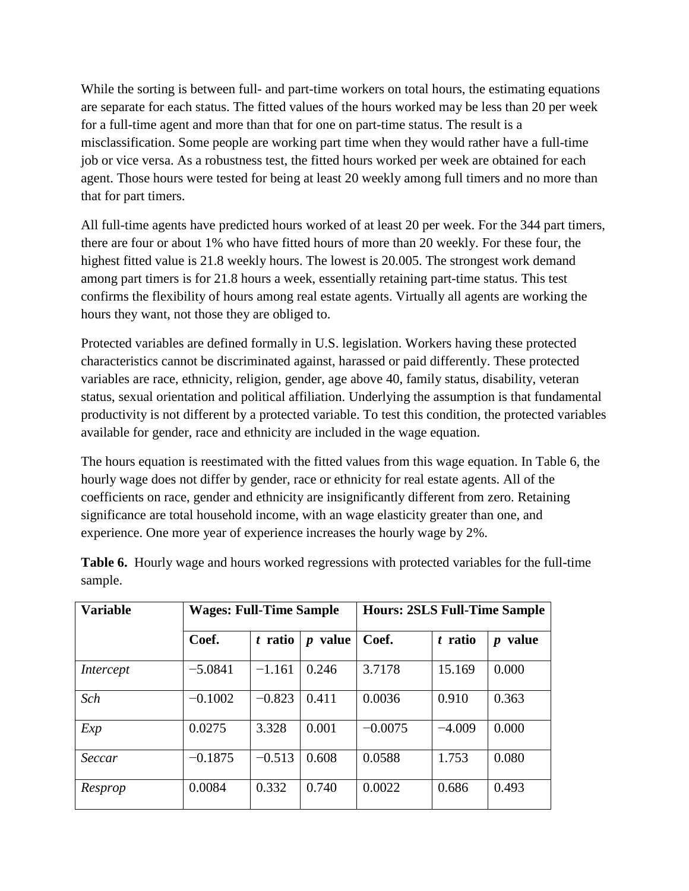While the sorting is between full- and part-time workers on total hours, the estimating equations are separate for each status. The fitted values of the hours worked may be less than 20 per week for a full-time agent and more than that for one on part-time status. The result is a misclassification. Some people are working part time when they would rather have a full-time job or vice versa. As a robustness test, the fitted hours worked per week are obtained for each agent. Those hours were tested for being at least 20 weekly among full timers and no more than that for part timers.

All full-time agents have predicted hours worked of at least 20 per week. For the 344 part timers, there are four or about 1% who have fitted hours of more than 20 weekly. For these four, the highest fitted value is 21.8 weekly hours. The lowest is 20.005. The strongest work demand among part timers is for 21.8 hours a week, essentially retaining part-time status. This test confirms the flexibility of hours among real estate agents. Virtually all agents are working the hours they want, not those they are obliged to.

Protected variables are defined formally in U.S. legislation. Workers having these protected characteristics cannot be discriminated against, harassed or paid differently. These protected variables are race, ethnicity, religion, gender, age above 40, family status, disability, veteran status, sexual orientation and political affiliation. Underlying the assumption is that fundamental productivity is not different by a protected variable. To test this condition, the protected variables available for gender, race and ethnicity are included in the wage equation.

The hours equation is reestimated with the fitted values from this wage equation. In Table 6, the hourly wage does not differ by gender, race or ethnicity for real estate agents. All of the coefficients on race, gender and ethnicity are insignificantly different from zero. Retaining significance are total household income, with an wage elasticity greater than one, and experience. One more year of experience increases the hourly wage by 2%.

| <b>Variable</b> | <b>Wages: Full-Time Sample</b> |          |                           | <b>Hours: 2SLS Full-Time Sample</b> |          |                           |  |
|-----------------|--------------------------------|----------|---------------------------|-------------------------------------|----------|---------------------------|--|
|                 | Coef.                          | t ratio  | value<br>$\boldsymbol{p}$ | Coef.                               | t ratio  | value<br>$\boldsymbol{p}$ |  |
| Intercept       | $-5.0841$                      | $-1.161$ | 0.246                     | 3.7178                              | 15.169   | 0.000                     |  |
| Sch             | $-0.1002$                      | $-0.823$ | 0.411                     | 0.0036                              | 0.910    | 0.363                     |  |
| Exp             | 0.0275                         | 3.328    | 0.001                     | $-0.0075$                           | $-4.009$ | 0.000                     |  |
| Seccar          | $-0.1875$                      | $-0.513$ | 0.608                     | 0.0588                              | 1.753    | 0.080                     |  |
| Resprop         | 0.0084                         | 0.332    | 0.740                     | 0.0022                              | 0.686    | 0.493                     |  |

**Table 6.** Hourly wage and hours worked regressions with protected variables for the full-time sample.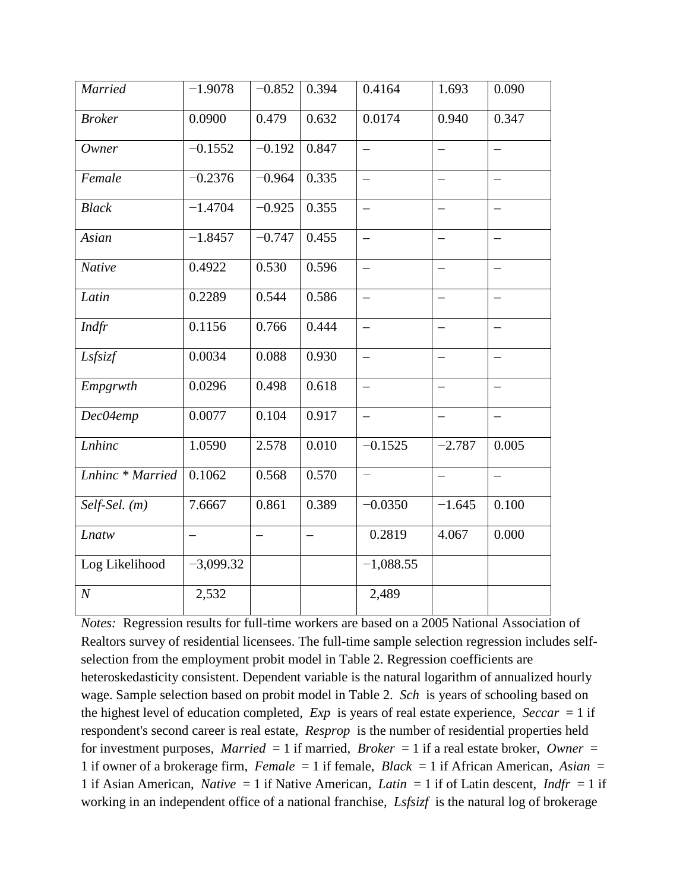| <b>Married</b>    | $-1.9078$                | $-0.852$ | 0.394                    | 0.4164                   | 1.693                    | 0.090                    |
|-------------------|--------------------------|----------|--------------------------|--------------------------|--------------------------|--------------------------|
| <b>Broker</b>     | 0.0900                   | 0.479    | 0.632                    | 0.0174                   | 0.940                    | 0.347                    |
| Owner             | $-0.1552$                | $-0.192$ | 0.847                    |                          |                          |                          |
| Female            | $-0.2376$                | $-0.964$ | 0.335                    |                          | $\overline{\phantom{0}}$ |                          |
| <b>Black</b>      | $-1.4704$                | $-0.925$ | 0.355                    | $\overline{\phantom{0}}$ | —                        |                          |
| Asian             | $-1.8457$                | $-0.747$ | 0.455                    | $\equiv$                 | $\qquad \qquad -$        |                          |
| <b>Native</b>     | 0.4922                   | 0.530    | 0.596                    | $\overline{\phantom{0}}$ | -                        |                          |
| Latin             | 0.2289                   | 0.544    | 0.586                    |                          |                          |                          |
| Indfr             | 0.1156                   | 0.766    | 0.444                    | $\equiv$                 | $\overline{\phantom{0}}$ |                          |
| Lsfsizf           | 0.0034                   | 0.088    | 0.930                    | $\overline{\phantom{0}}$ | $\overline{\phantom{0}}$ |                          |
| Empgrwth          | 0.0296                   | 0.498    | 0.618                    |                          | $\overline{\phantom{0}}$ |                          |
| Dec04emp          | 0.0077                   | 0.104    | 0.917                    | $\overline{\phantom{0}}$ | $\qquad \qquad -$        | $\overline{\phantom{0}}$ |
| Lnhinc            | 1.0590                   | 2.578    | 0.010                    | $-0.1525$                | $-2.787$                 | 0.005                    |
| Lnhinc * Married  | 0.1062                   | 0.568    | 0.570                    | $\qquad \qquad -$        | -                        | $\overline{\phantom{0}}$ |
| $Self-Sel.$ $(m)$ | 7.6667                   | 0.861    | 0.389                    | $-0.0350$                | $-1.645$                 | 0.100                    |
| Lnatw             | $\overline{\phantom{0}}$ | $\equiv$ | $\overline{\phantom{0}}$ | 0.2819                   | 4.067                    | 0.000                    |
| Log Likelihood    | $-3,099.32$              |          |                          | $-1,088.55$              |                          |                          |
| $\boldsymbol{N}$  | 2,532                    |          |                          | 2,489                    |                          |                          |

*Notes:* Regression results for full-time workers are based on a 2005 National Association of Realtors survey of residential licensees. The full-time sample selection regression includes selfselection from the employment probit model in Table 2. Regression coefficients are heteroskedasticity consistent. Dependent variable is the natural logarithm of annualized hourly wage. Sample selection based on probit model in Table 2. *Sch* is years of schooling based on the highest level of education completed, *Exp* is years of real estate experience, *Seccar* = 1 if respondent's second career is real estate, *Resprop* is the number of residential properties held for investment purposes, *Married* = 1 if married, *Broker* = 1 if a real estate broker, *Owner* = 1 if owner of a brokerage firm, *Female* = 1 if female, *Black* = 1 if African American, *Asian* = 1 if Asian American, *Native* = 1 if Native American, *Latin* = 1 if of Latin descent, *Indfr* = 1 if working in an independent office of a national franchise, *Lsfsizf* is the natural log of brokerage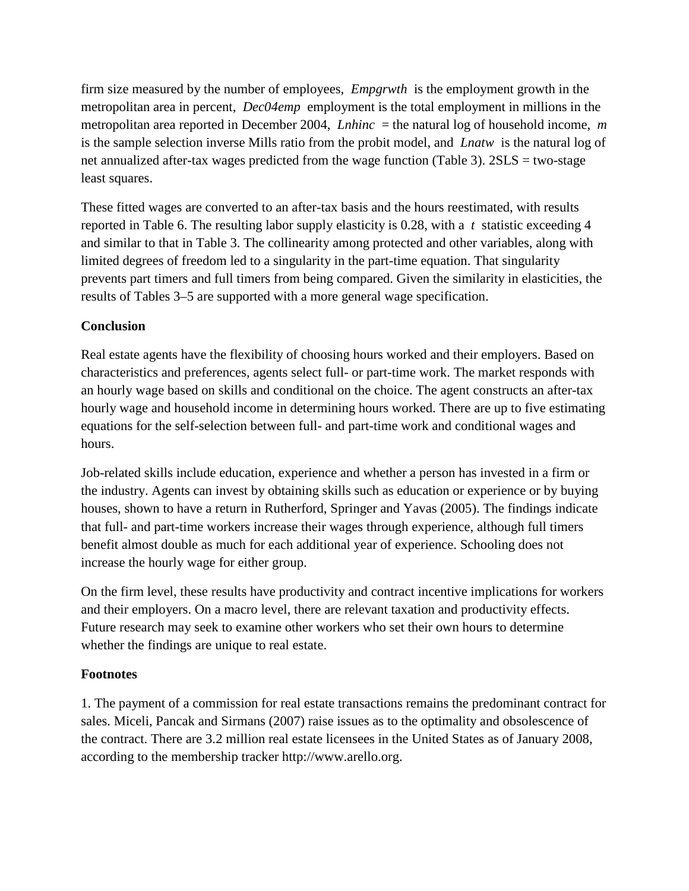firm size measured by the number of employees, *Empgrwth* is the employment growth in the metropolitan area in percent, *Dec04emp* employment is the total employment in millions in the metropolitan area reported in December 2004, *Lnhinc* = the natural log of household income, *m* is the sample selection inverse Mills ratio from the probit model, and *Lnatw* is the natural log of net annualized after-tax wages predicted from the wage function (Table 3). 2SLS = two-stage least squares.

These fitted wages are converted to an after-tax basis and the hours reestimated, with results reported in Table 6. The resulting labor supply elasticity is 0.28, with a *t* statistic exceeding 4 and similar to that in Table 3. The collinearity among protected and other variables, along with limited degrees of freedom led to a singularity in the part-time equation. That singularity prevents part timers and full timers from being compared. Given the similarity in elasticities, the results of Tables 3–5 are supported with a more general wage specification.

## **Conclusion**

Real estate agents have the flexibility of choosing hours worked and their employers. Based on characteristics and preferences, agents select full- or part-time work. The market responds with an hourly wage based on skills and conditional on the choice. The agent constructs an after-tax hourly wage and household income in determining hours worked. There are up to five estimating equations for the self-selection between full- and part-time work and conditional wages and hours.

Job-related skills include education, experience and whether a person has invested in a firm or the industry. Agents can invest by obtaining skills such as education or experience or by buying houses, shown to have a return in Rutherford, Springer and Yavas (2005). The findings indicate that full- and part-time workers increase their wages through experience, although full timers benefit almost double as much for each additional year of experience. Schooling does not increase the hourly wage for either group.

On the firm level, these results have productivity and contract incentive implications for workers and their employers. On a macro level, there are relevant taxation and productivity effects. Future research may seek to examine other workers who set their own hours to determine whether the findings are unique to real estate.

### **Footnotes**

1. The payment of a commission for real estate transactions remains the predominant contract for sales. Miceli, Pancak and Sirmans (2007) raise issues as to the optimality and obsolescence of the contract. There are 3.2 million real estate licensees in the United States as of January 2008, according to the membership tracker http://www.arello.org.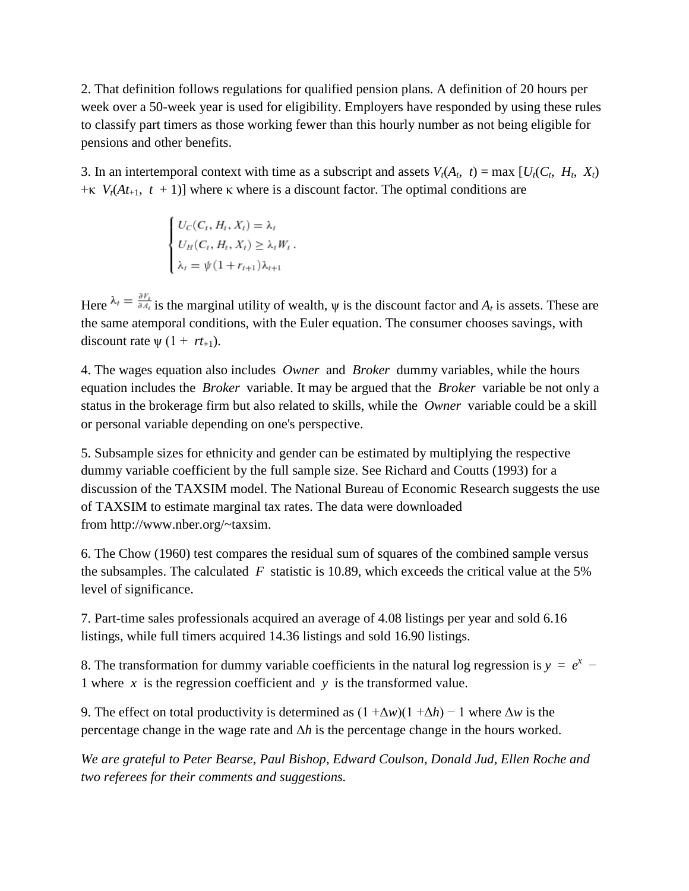2. That definition follows regulations for qualified pension plans. A definition of 20 hours per week over a 50-week year is used for eligibility. Employers have responded by using these rules to classify part timers as those working fewer than this hourly number as not being eligible for pensions and other benefits.

3. In an intertemporal context with time as a subscript and assets  $V_t(A_t, t) = \max [U_t(C_t, H_t, X_t)]$  $+\kappa$  *V<sub>t</sub>*(*At*<sub>+1</sub>, *t* + 1)] where κ where is a discount factor. The optimal conditions are

$$
\begin{cases}\nU_C(C_t, H_t, X_t) = \lambda_t \\
U_H(C_t, H_t, X_t) \geq \lambda_t W_t, \\
\lambda_t = \psi(1 + r_{t+1})\lambda_{t+1}\n\end{cases}
$$

Here  $\lambda_t = \frac{\partial V_t}{\partial A_t}$  is the marginal utility of wealth,  $\psi$  is the discount factor and  $A_t$  is assets. These are the same atemporal conditions, with the Euler equation. The consumer chooses savings, with discount rate  $\psi$  (1 +  $rt_{+1}$ ).

4. The wages equation also includes *Owner* and *Broker* dummy variables, while the hours equation includes the *Broker* variable. It may be argued that the *Broker* variable be not only a status in the brokerage firm but also related to skills, while the *Owner* variable could be a skill or personal variable depending on one's perspective.

5. Subsample sizes for ethnicity and gender can be estimated by multiplying the respective dummy variable coefficient by the full sample size. See Richard and Coutts (1993) for a discussion of the TAXSIM model. The National Bureau of Economic Research suggests the use of TAXSIM to estimate marginal tax rates. The data were downloaded from http://www.nber.org/~taxsim.

6. The Chow (1960) test compares the residual sum of squares of the combined sample versus the subsamples. The calculated  $F$  statistic is 10.89, which exceeds the critical value at the 5% level of significance.

7. Part-time sales professionals acquired an average of 4.08 listings per year and sold 6.16 listings, while full timers acquired 14.36 listings and sold 16.90 listings.

8. The transformation for dummy variable coefficients in the natural log regression is  $y = e^x$ 1 where *x* is the regression coefficient and *y* is the transformed value.

9. The effect on total productivity is determined as  $(1 + \Delta w)(1 + \Delta h) - 1$  where  $\Delta w$  is the percentage change in the wage rate and  $\Delta h$  is the percentage change in the hours worked.

*We are grateful to Peter Bearse, Paul Bishop, Edward Coulson, Donald Jud, Ellen Roche and two referees for their comments and suggestions.*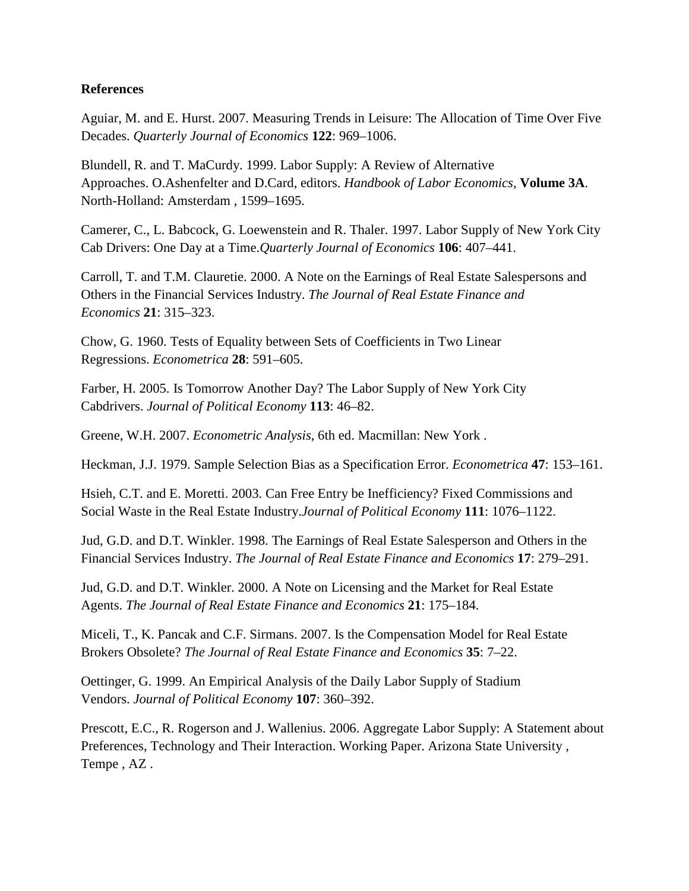#### **References**

Aguiar, M. and E. Hurst. 2007. Measuring Trends in Leisure: The Allocation of Time Over Five Decades. *Quarterly Journal of Economics* **122**: 969–1006.

Blundell, R. and T. MaCurdy. 1999. Labor Supply: A Review of Alternative Approaches. O.Ashenfelter and D.Card, editors. *Handbook of Labor Economics*, **Volume 3A**. North-Holland: Amsterdam , 1599–1695.

Camerer, C., L. Babcock, G. Loewenstein and R. Thaler. 1997. Labor Supply of New York City Cab Drivers: One Day at a Time.*Quarterly Journal of Economics* **106**: 407–441.

Carroll, T. and T.M. Clauretie. 2000. A Note on the Earnings of Real Estate Salespersons and Others in the Financial Services Industry. *The Journal of Real Estate Finance and Economics* **21**: 315–323.

Chow, G. 1960. Tests of Equality between Sets of Coefficients in Two Linear Regressions. *Econometrica* **28**: 591–605.

Farber, H. 2005. Is Tomorrow Another Day? The Labor Supply of New York City Cabdrivers. *Journal of Political Economy* **113**: 46–82.

Greene, W.H. 2007. *Econometric Analysis*, 6th ed. Macmillan: New York .

Heckman, J.J. 1979. Sample Selection Bias as a Specification Error. *Econometrica* **47**: 153–161.

Hsieh, C.T. and E. Moretti. 2003. Can Free Entry be Inefficiency? Fixed Commissions and Social Waste in the Real Estate Industry.*Journal of Political Economy* **111**: 1076–1122.

Jud, G.D. and D.T. Winkler. 1998. The Earnings of Real Estate Salesperson and Others in the Financial Services Industry. *The Journal of Real Estate Finance and Economics* **17**: 279–291.

Jud, G.D. and D.T. Winkler. 2000. A Note on Licensing and the Market for Real Estate Agents. *The Journal of Real Estate Finance and Economics* **21**: 175–184.

Miceli, T., K. Pancak and C.F. Sirmans. 2007. Is the Compensation Model for Real Estate Brokers Obsolete? *The Journal of Real Estate Finance and Economics* **35**: 7–22.

Oettinger, G. 1999. An Empirical Analysis of the Daily Labor Supply of Stadium Vendors. *Journal of Political Economy* **107**: 360–392.

Prescott, E.C., R. Rogerson and J. Wallenius. 2006. Aggregate Labor Supply: A Statement about Preferences, Technology and Their Interaction. Working Paper. Arizona State University , Tempe , AZ .